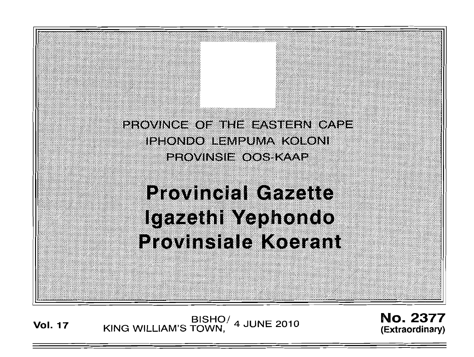PROVINCE OF THE EASTERN CAPE iphondo ermpuma koroni PROVINSIE OOS KAAP

# **Provincial Gazette** Igazethi Yephondo **Provinsiale Koerant**

BISHO/ 4 JUNE 2010<br>KING WILLIAM'S TOWN,

**No. 2377** (Extraordinary)

**Vol. 17**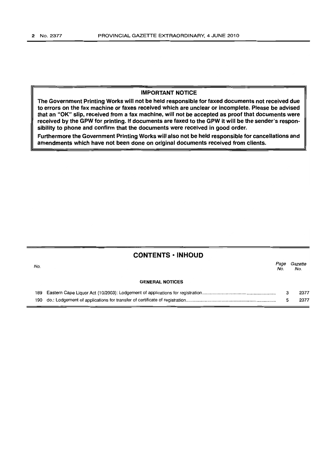### IMPORTANT NOTICE

The Government Printing Works will not be held responsible for faxed documents not received due to errors on the fax machine or faxes received which are unclear or incomplete. Please be advised that an "OK" slip, received from a fax machine, will not be accepted as proof that documents were received by the GPW for printing. If documents are faxed to the GPW it will be the sender's responsibility to phone and confirm that the documents were received in good order.

Furthermore the Government Printing Works will also not be held responsible for cancellations and amendments which have not been done on original documents received from clients.

| No. | <b>CONTENTS · INHOUD</b><br>Page<br>No. |        |              |  |  |  |  |
|-----|-----------------------------------------|--------|--------------|--|--|--|--|
|     | <b>GENERAL NOTICES</b>                  |        |              |  |  |  |  |
|     |                                         | 3<br>5 | 2377<br>2377 |  |  |  |  |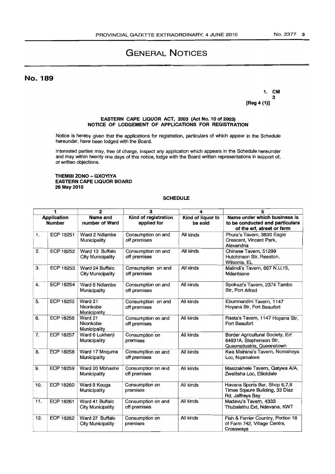# GENERAL NOTICES

No. 189

•

1. CM 3 [Reg 4 (1)]

#### EASTERN CAPE UQUOR ACT, 2003 (Act No. 10 of 2003) NOTICE OF LODGEMENT OF APPUCATIONS FOR REGISTRATION

Notice is hereby given that the applications for registration, particulars of which appear in the Schedule hereunder, have been lodged with the Board.

Interested parties may, free of charge, inspect any application which appears in the Schedule hereunder and may within twenty one days of this notice, lodge with the Board written representations in support of, or written objections.

#### THEMBI ZONO - GXOYIYA EASTERN CAPE UQUOR BOARD 26 May 2010

#### **SCHEDULE**

| 1                            |                  | $\boldsymbol{2}$                            | 3                                   | 4                            | 5                                                                                             |
|------------------------------|------------------|---------------------------------------------|-------------------------------------|------------------------------|-----------------------------------------------------------------------------------------------|
| Application<br><b>Number</b> |                  | <b>Name and</b><br>number of Ward           | Kind of registration<br>applied for | Kind of liquor to<br>be sold | Name under which business is<br>to be conducted and particulars<br>of the erf, street or farm |
| 1.                           | ECP 18251        | Ward 2 Ndlambe<br>Municipality              | Consumption on and<br>off premises  | All kinds                    | Phura's Tavern, 3830 Eagle<br>Crescent, Vincent Park,<br>Alexandria                           |
| 2.                           | ECP 18252        | Ward 13 Buffalo<br><b>City Municipality</b> | Consumption on and<br>off premises  | All kinds                    | Chinese Tavern, 51299<br>Hutchinson Str, Reeston,<br>Wilsonia, EL                             |
| З.                           | ECP 18253        | Ward 24 Buffalo<br>City Municipality        | Consumption on and<br>off premises  | All kinds                    | Malindi's Tavern, 667 N.U.15,<br>Mdantsane                                                    |
| 4.                           | ECP 18254        | Ward 6 Ndlambe<br>Municipality              | Consumption on and<br>off premises  | All kinds                    | Spokazi's Tavern, 2374 Tambo<br>Str, Port Alfred                                              |
| 5.                           | ECP 18255        | Ward 21<br>Nkonkobe<br>Municipality         | Consumption on and<br>off premises  | All kinds                    | Ebumnandini Tavern, 1147<br>Hoyana Str, Fort Beaufort                                         |
| 6.                           | <b>ECP 18256</b> | Ward 21<br>Nkonkobe<br>Municipality         | Consumption on and<br>off premises  | All kinds                    | Rasta's Tavern, 1147 Hoyana Str,<br>Fort Beaufort                                             |
| 7.                           | <b>ECP 18257</b> | Ward 6 Lukhanji<br>Municipality             | Consumption on<br>premises          | All kinds                    | Border Agricultural Society, Erf<br>64831A, Stephenson Str,<br>Queensdustria, Queenstown      |
| 8.                           | ECP 18258        | Ward 17 Mnquma<br>Municipality              | Consumption on and<br>off premises  | All kinds                    | Kwa Msirana's Tavern, Nomaheya<br>Loc, Ngamakwe                                               |
| 9.                           | ECP 18259        | Ward 20 Mbhashe<br>Municipality             | Consumption on and<br>off premises  | All kinds                    | Masizakhele Tavern, Qatywa A/A,<br>Zwelitsha Loc, Elliotdale                                  |
| 10.                          | <b>ECP 18260</b> | Ward 8 Kouga<br>Municipality                | Consumption on<br>premises          | All kinds                    | Havana Sports Bar, Shop 6,7,8<br>Times Sqaure Building, 33 Diaz<br>Rd, Jeffreys Bay           |
| 11.                          | ECP 18261        | Ward 41 Buffalo<br>City Municipality        | Consumption on and<br>off premises  | All kinds                    | Madevu's Tavern, 4333<br>Thubalethu Ext, Ndevana, KWT                                         |
| 12.                          | <b>ECP 18262</b> | Ward 27 Buffalo<br>City Municipality        | Consumption on<br>premises          | All kinds                    | Fish & Farrier Country, Portion 18<br>of Farm 742, Village Centre,<br>Crossways               |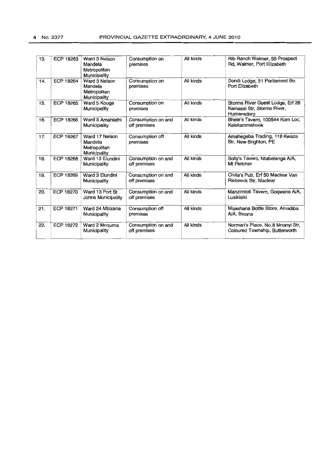| 13. | ECP 18263        | Ward 3 Nelson<br>Mandela<br>Metropolitan<br>Municipality  | Consumption on<br>premises         | All kinds | Rib Ranch Walmer, 55 Prospect<br>Rd, Walmer, Port Elizabeth                  |
|-----|------------------|-----------------------------------------------------------|------------------------------------|-----------|------------------------------------------------------------------------------|
| 14. | <b>ECP 18264</b> | Ward 3 Nelson<br>Mandela<br>Metropolitan<br>Municipality  | Consumption on<br>premises         | All kinds | Dondi Lodge, 51 Parliament Str,<br>Port Elizabeth                            |
| 15. | <b>ECP 18265</b> | Ward 5 Kouga<br>Municipality                              | Consumption on<br>premises         | All kinds | Storms River Guest Lodge, Erf 28<br>Kamassi Str, Storms River,<br>Humansdorp |
| 16. | ECP 18266        | Ward 3 Amahlathi<br>Municipality                          | Consumption on and<br>off premises | All kinds | Bhele's Tavern, 100544 Kom Loc,<br>Keiskammahoek                             |
| 17. | <b>ECP 18267</b> | Ward 17 Nelson<br>Mandela<br>Metropolitan<br>Municipality | Consumption off<br>premises        | All kinds | Amahegeba Trading, 118 Kwaza<br>Str, New Brighton, PE                        |
| 18. | <b>ECP 18268</b> | Ward 13 Elundini<br>Municipality                          | Consumption on and<br>off premises | All kinds | Solly's Tavern, Ntabelanga A/A,<br>Mt Fletcher                               |
| 19. | <b>ECP 18269</b> | Ward 3 Elundini<br>Municipality                           | Consumption on and<br>off premises | All kinds | Chilla's Pub, Erf 50 Maclear Van<br>Riebeeck Str. Maclear                    |
| 20. | ECP 18270        | Ward 13 Port St<br>Johns Municipality                     | Consumption on and<br>off premises | All kinds | Manzimtoti Tavern, Gogwana A/A,<br>Lusikisiki                                |
| 21. | ECP 18271        | Ward 24 Mbizana<br>Municipality                           | Consumption off<br>premises        | All kinds | Mgashana Bottle Store, Amadiba<br>A/A. Bizana                                |
| 22. | <b>ECP 18272</b> | Ward 2 Mnquma<br>Municipality                             | Consumption on and<br>off premises | All kinds | Norman's Place, No.8 Mnanyi Str,<br>Coloured Township, Butterworth           |